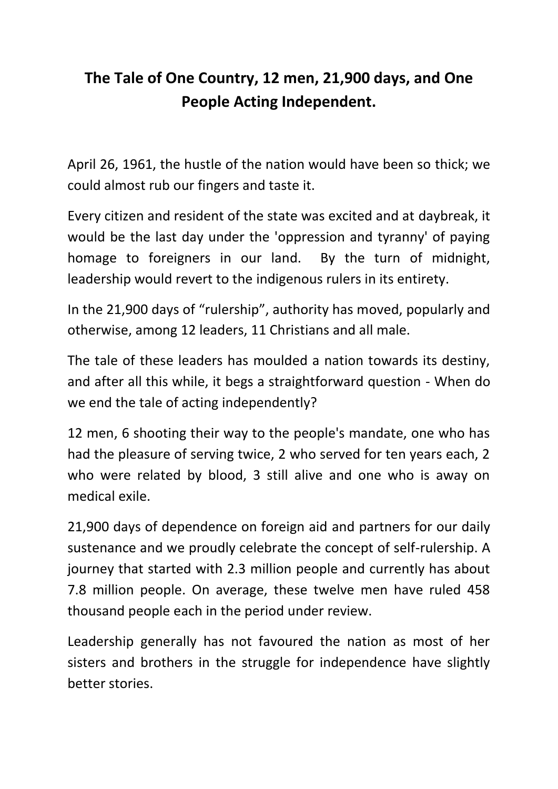## **The Tale of One Country, 12 men, 21,900 days, and One People Acting Independent.**

April 26, 1961, the hustle of the nation would have been so thick; we could almost rub our fingers and taste it.

Every citizen and resident of the state was excited and at daybreak, it would be the last day under the 'oppression and tyranny' of paying homage to foreigners in our land. By the turn of midnight, leadership would revert to the indigenous rulers in its entirety.

In the 21,900 days of "rulership", authority has moved, popularly and otherwise, among 12 leaders, 11 Christians and all male.

The tale of these leaders has moulded a nation towards its destiny, and after all this while, it begs a straightforward question - When do we end the tale of acting independently?

12 men, 6 shooting their way to the people's mandate, one who has had the pleasure of serving twice, 2 who served for ten years each, 2 who were related by blood, 3 still alive and one who is away on medical exile.

21,900 days of dependence on foreign aid and partners for our daily sustenance and we proudly celebrate the concept of self-rulership. A journey that started with 2.3 million people and currently has about 7.8 million people. On average, these twelve men have ruled 458 thousand people each in the period under review.

Leadership generally has not favoured the nation as most of her sisters and brothers in the struggle for independence have slightly better stories.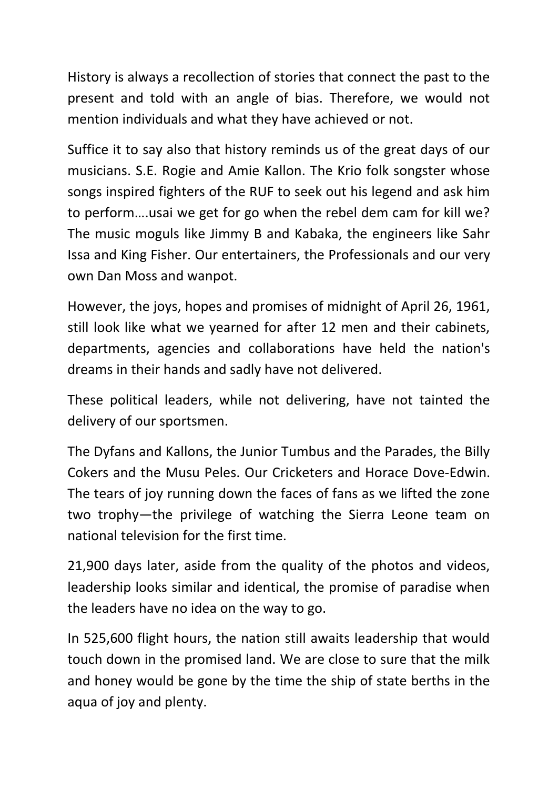History is always a recollection of stories that connect the past to the present and told with an angle of bias. Therefore, we would not mention individuals and what they have achieved or not.

Suffice it to say also that history reminds us of the great days of our musicians. S.E. Rogie and Amie Kallon. The Krio folk songster whose songs inspired fighters of the RUF to seek out his legend and ask him to perform….usai we get for go when the rebel dem cam for kill we? The music moguls like Jimmy B and Kabaka, the engineers like Sahr Issa and King Fisher. Our entertainers, the Professionals and our very own Dan Moss and wanpot.

However, the joys, hopes and promises of midnight of April 26, 1961, still look like what we yearned for after 12 men and their cabinets, departments, agencies and collaborations have held the nation's dreams in their hands and sadly have not delivered.

These political leaders, while not delivering, have not tainted the delivery of our sportsmen.

The Dyfans and Kallons, the Junior Tumbus and the Parades, the Billy Cokers and the Musu Peles. Our Cricketers and Horace Dove-Edwin. The tears of joy running down the faces of fans as we lifted the zone two trophy—the privilege of watching the Sierra Leone team on national television for the first time.

21,900 days later, aside from the quality of the photos and videos, leadership looks similar and identical, the promise of paradise when the leaders have no idea on the way to go.

In 525,600 flight hours, the nation still awaits leadership that would touch down in the promised land. We are close to sure that the milk and honey would be gone by the time the ship of state berths in the aqua of joy and plenty.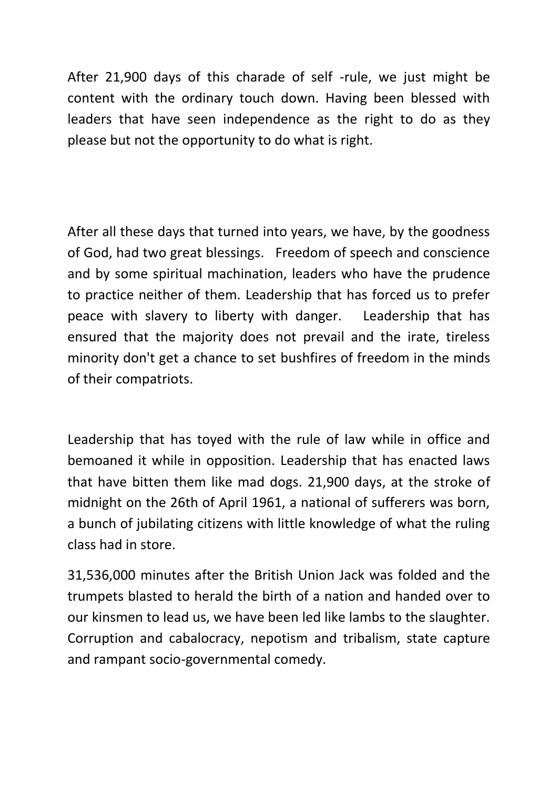After 21,900 days of this charade of self -rule, we just might be content with the ordinary touch down. Having been blessed with leaders that have seen independence as the right to do as they please but not the opportunity to do what is right.

After all these days that turned into years, we have, by the goodness of God, had two great blessings. Freedom of speech and conscience and by some spiritual machination, leaders who have the prudence to practice neither of them. Leadership that has forced us to prefer peace with slavery to liberty with danger. Leadership that has ensured that the majority does not prevail and the irate, tireless minority don't get a chance to set bushfires of freedom in the minds of their compatriots.

Leadership that has toyed with the rule of law while in office and bemoaned it while in opposition. Leadership that has enacted laws that have bitten them like mad dogs. 21,900 days, at the stroke of midnight on the 26th of April 1961, a national of sufferers was born, a bunch of jubilating citizens with little knowledge of what the ruling class had in store.

31,536,000 minutes after the British Union Jack was folded and the trumpets blasted to herald the birth of a nation and handed over to our kinsmen to lead us, we have been led like lambs to the slaughter. Corruption and cabalocracy, nepotism and tribalism, state capture and rampant socio-governmental comedy.